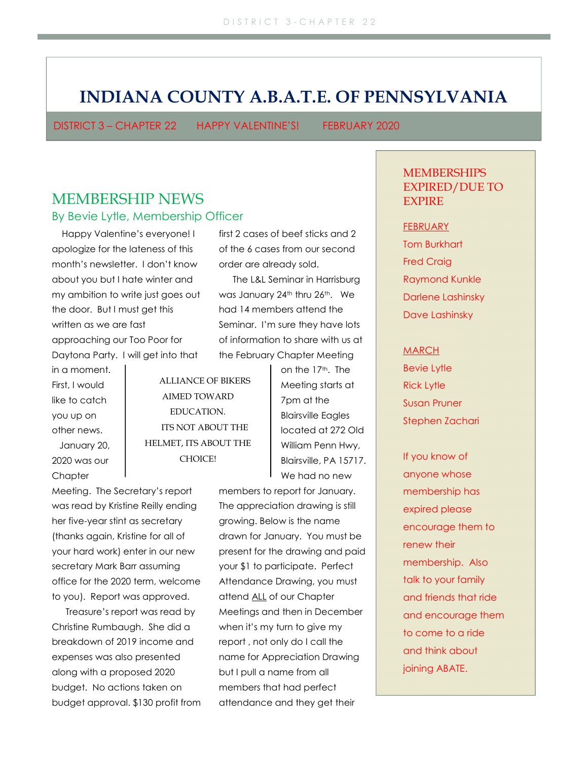# INDIANA COUNTY A.B.A.T.E. OF PENNSYLVANIA

DISTRICT 3 – CHAPTER 22 HAPPY VALENTINE'S! FEBRUARY 2020

## MEMBERSHIP NEWS By Bevie Lytle, Membership Officer

 Happy Valentine's everyone! I apologize for the lateness of this month's newsletter. I don't know about you but I hate winter and my ambition to write just goes out the door. But I must get this written as we are fast approaching our Too Poor for Daytona Party. I will get into that

in a moment. First, I would like to catch you up on other news. January 20, 2020 was our **Chapter** 

first 2 cases of beef sticks and 2 of the 6 cases from our second order are already sold.

The L&L Seminar in Harrisburg was January 24<sup>th</sup> thru 26<sup>th</sup>. We had 14 members attend the Seminar. I'm sure they have lots of information to share with us at the February Chapter Meeting

ALLIANCE OF BIKERS AIMED TOWARD EDUCATION. ITS NOT ABOUT THE HELMET, ITS ABOUT THE CHOICE!

Meeting. The Secretary's report was read by Kristine Reilly ending her five-year stint as secretary (thanks again, Kristine for all of your hard work) enter in our new secretary Mark Barr assuming office for the 2020 term, welcome to you). Report was approved.

Treasure's report was read by Christine Rumbaugh. She did a breakdown of 2019 income and expenses was also presented along with a proposed 2020 budget. No actions taken on budget approval. \$130 profit from on the 17<sup>th</sup>. The Meeting starts at 7pm at the Blairsville Eagles located at 272 Old William Penn Hwy, Blairsville, PA 15717. We had no new

members to report for January. The appreciation drawing is still growing. Below is the name drawn for January. You must be present for the drawing and paid your \$1 to participate. Perfect Attendance Drawing, you must attend ALL of our Chapter Meetings and then in December when it's my turn to give my report , not only do I call the name for Appreciation Drawing but I pull a name from all members that had perfect attendance and they get their

**MEMBERSHIPS** EXPIRED/DUE TO **EXPIRE** 

#### **FEBRUARY**

Tom Burkhart Fred Craig Raymond Kunkle Darlene Lashinsky Dave Lashinsky

#### MARCH

Bevie Lytle Rick Lytle Susan Pruner Stephen Zachari

If you know of anyone whose membership has expired please encourage them to renew their membership. Also talk to your family and friends that ride and encourage them to come to a ride and think about joining ABATE.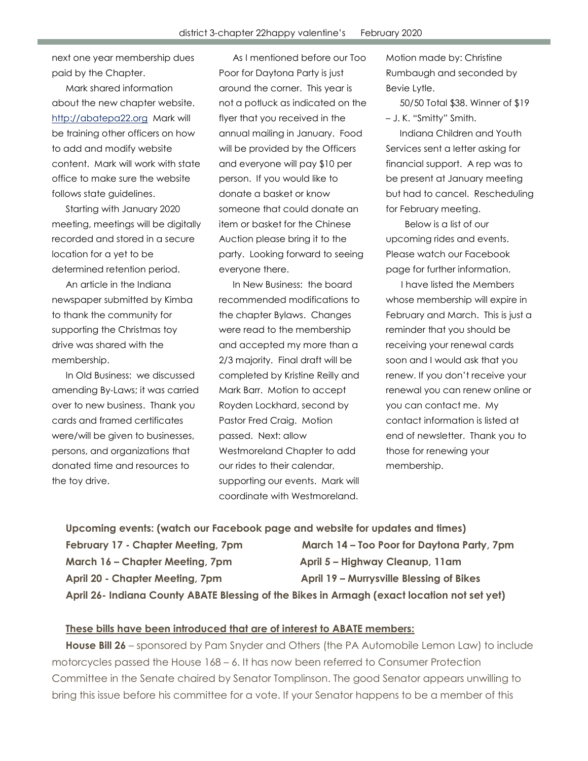next one year membership dues paid by the Chapter.

Mark shared information about the new chapter website. http://abatepa22.org Mark will be training other officers on how to add and modify website content. Mark will work with state office to make sure the website follows state guidelines.

Starting with January 2020 meeting, meetings will be digitally recorded and stored in a secure location for a yet to be determined retention period.

An article in the Indiana newspaper submitted by Kimba to thank the community for supporting the Christmas toy drive was shared with the membership.

In Old Business: we discussed amending By-Laws; it was carried over to new business. Thank you cards and framed certificates were/will be given to businesses, persons, and organizations that donated time and resources to the toy drive.

As I mentioned before our Too Poor for Daytona Party is just around the corner. This year is not a potluck as indicated on the flyer that you received in the annual mailing in January. Food will be provided by the Officers and everyone will pay \$10 per person. If you would like to donate a basket or know someone that could donate an item or basket for the Chinese Auction please bring it to the party. Looking forward to seeing everyone there.

In New Business: the board recommended modifications to the chapter Bylaws. Changes were read to the membership and accepted my more than a 2/3 majority. Final draft will be completed by Kristine Reilly and Mark Barr. Motion to accept Royden Lockhard, second by Pastor Fred Craig. Motion passed. Next: allow Westmoreland Chapter to add our rides to their calendar, supporting our events. Mark will coordinate with Westmoreland.

Motion made by: Christine Rumbaugh and seconded by Bevie Lytle.

50/50 Total \$38. Winner of \$19 – J. K. "Smitty" Smith.

Indiana Children and Youth Services sent a letter asking for financial support. A rep was to be present at January meeting but had to cancel. Rescheduling for February meeting.

 Below is a list of our upcoming rides and events. Please watch our Facebook page for further information.

 I have listed the Members whose membership will expire in February and March. This is just a reminder that you should be receiving your renewal cards soon and I would ask that you renew. If you don't receive your renewal you can renew online or you can contact me. My contact information is listed at end of newsletter. Thank you to those for renewing your membership.

Upcoming events: (watch our Facebook page and website for updates and times) February 17 - Chapter Meeting, 7pm March 14 – Too Poor for Daytona Party, 7pm March 16 – Chapter Meeting, 7pm April 5 – Highway Cleanup, 11am April 20 - Chapter Meeting, 7pm April 19 – Murrysville Blessing of Bikes April 26- Indiana County ABATE Blessing of the Bikes in Armagh (exact location not set yet)

### These bills have been introduced that are of interest to ABATE members:

House Bill 26 – sponsored by Pam Snyder and Others (the PA Automobile Lemon Law) to include motorcycles passed the House 168 – 6. It has now been referred to Consumer Protection Committee in the Senate chaired by Senator Tomplinson. The good Senator appears unwilling to bring this issue before his committee for a vote. If your Senator happens to be a member of this